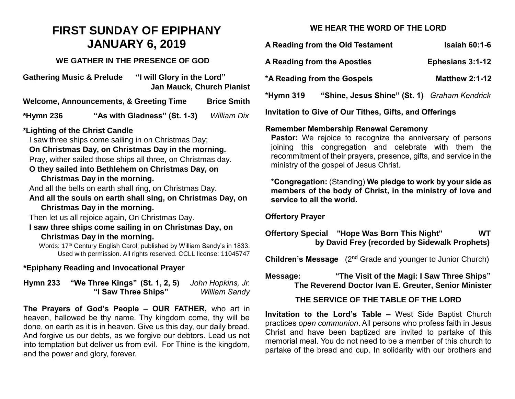# **FIRST SUNDAY OF EPIPHANY JANUARY 6, 2019**

#### **WE GATHER IN THE PRESENCE OF GOD**

**Gathering Music & Prelude "I will Glory in the Lord" Jan Mauck, Church Pianist**

**Welcome, Announcements, & Greeting Time Brice Smith**

**\*Hymn 236 "As with Gladness" (St. 1-3)** *William Dix*

#### **\*Lighting of the Christ Candle**

I saw three ships come sailing in on Christmas Day;

**On Christmas Day, on Christmas Day in the morning.**  Pray, wither sailed those ships all three, on Christmas day.

# **O they sailed into Bethlehem on Christmas Day, on**

#### **Christmas Day in the morning.**

And all the bells on earth shall ring, on Christmas Day.

**And all the souls on earth shall sing, on Christmas Day, on Christmas Day in the morning.**

Then let us all rejoice again, On Christmas Day.

#### **I saw three ships come sailing in on Christmas Day, on Christmas Day in the morning.**

Words: 17<sup>th</sup> Century English Carol; published by William Sandy's in 1833. Used with permission. All rights reserved. CCLL license: 11045747

#### **\*Epiphany Reading and Invocational Prayer**

**Hymn 233 "We Three Kings" (St. 1, 2, 5)** *John Hopkins, Jr.* **"I Saw Three Ships"** *William Sandy*

**The Prayers of God's People – OUR FATHER,** who art in heaven, hallowed be thy name. Thy kingdom come, thy will be done, on earth as it is in heaven. Give us this day, our daily bread. And forgive us our debts, as we forgive our debtors. Lead us not into temptation but deliver us from evil. For Thine is the kingdom, and the power and glory, forever.

# **WE HEAR THE WORD OF THE LORD**

| A Reading from the Old Testament                          | <b>Isaiah 60:1-6</b>    |
|-----------------------------------------------------------|-------------------------|
| A Reading from the Apostles                               | <b>Ephesians 3:1-12</b> |
| *A Reading from the Gospels                               | <b>Matthew 2:1-12</b>   |
| "Shine, Jesus Shine" (St. 1) Graham Kendrick<br>*Hymn 319 |                         |
| Invitation to Give of Our Tithes, Gifts, and Offerings    |                         |

#### **Remember Membership Renewal Ceremony**

**Pastor:** We rejoice to recognize the anniversary of persons joining this congregation and celebrate with them the recommitment of their prayers, presence, gifts, and service in the ministry of the gospel of Jesus Christ.

**\*Congregation:** (Standing) **We pledge to work by your side as members of the body of Christ, in the ministry of love and service to all the world.**

#### **Offertory Prayer**

# **Offertory Special "Hope Was Born This Night" WT by David Frey (recorded by Sidewalk Prophets)**

**Children's Message** (2<sup>nd</sup> Grade and younger to Junior Church)

# **Message: "The Visit of the Magi: I Saw Three Ships" The Reverend Doctor Ivan E. Greuter, Senior Minister**

# **THE SERVICE OF THE TABLE OF THE LORD**

**Invitation to the Lord's Table –** West Side Baptist Church practices *open communion*. All persons who profess faith in Jesus Christ and have been baptized are invited to partake of this memorial meal. You do not need to be a member of this church to partake of the bread and cup. In solidarity with our brothers and